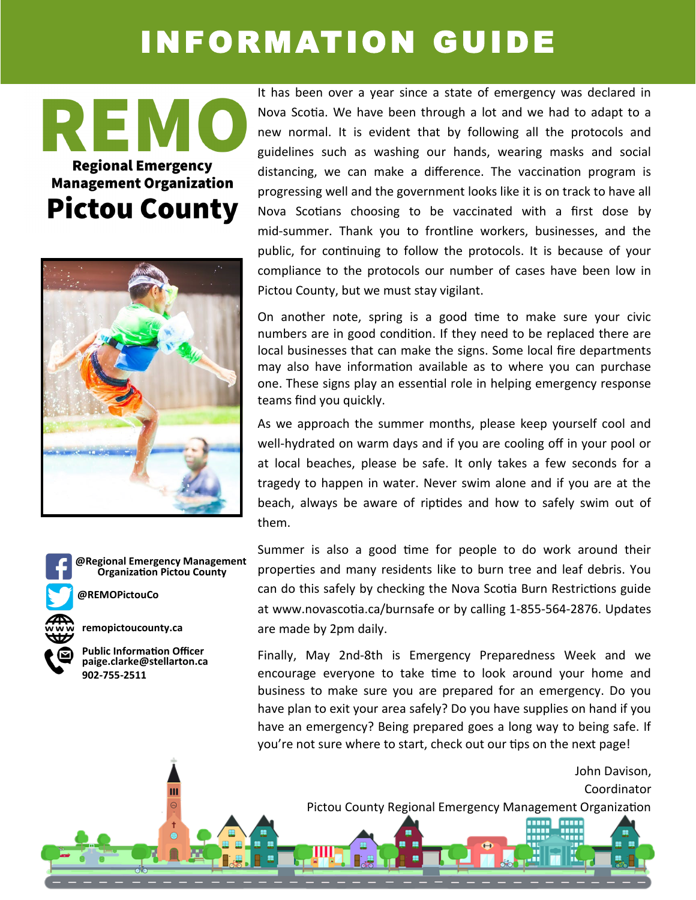## INFORMATION GUIDE

REN **Regional Emergency Management Organization Pictou County** 



**Organization Pictou County @Regional Emergency Management**

Ш

**@REMOPictouCo**

**remopictoucounty.ca**



It has been over a year since a state of emergency was declared in Nova Scotia. We have been through a lot and we had to adapt to a new normal. It is evident that by following all the protocols and guidelines such as washing our hands, wearing masks and social distancing, we can make a difference. The vaccination program is progressing well and the government looks like it is on track to have all Nova Scotians choosing to be vaccinated with a first dose by mid-summer. Thank you to frontline workers, businesses, and the public, for continuing to follow the protocols. It is because of your compliance to the protocols our number of cases have been low in Pictou County, but we must stay vigilant.

On another note, spring is a good time to make sure your civic numbers are in good condition. If they need to be replaced there are local businesses that can make the signs. Some local fire departments may also have information available as to where you can purchase one. These signs play an essential role in helping emergency response teams find you quickly.

As we approach the summer months, please keep yourself cool and well-hydrated on warm days and if you are cooling off in your pool or at local beaches, please be safe. It only takes a few seconds for a tragedy to happen in water. Never swim alone and if you are at the beach, always be aware of riptides and how to safely swim out of them.

Summer is also a good time for people to do work around their properties and many residents like to burn tree and leaf debris. You can do this safely by checking the Nova Scotia Burn Restrictions guide at [www.novascotia.ca/burnsafe or by calling 1](http://www.novascotia.ca/burnsafe%20or%20by%20calling%201-855-564-2876%20(Burn)%20daily%20at%202%20p.m)-855-564-2876. Updates are made by 2pm daily.

Finally, May 2nd-8th is Emergency Preparedness Week and we encourage everyone to take time to look around your home and business to make sure you are prepared for an emergency. Do you have plan to exit your area safely? Do you have supplies on hand if you have an emergency? Being prepared goes a long way to being safe. If you're not sure where to start, check out our tips on the next page!

> John Davison, Coordinator Pictou County Regional Emergency Management Organization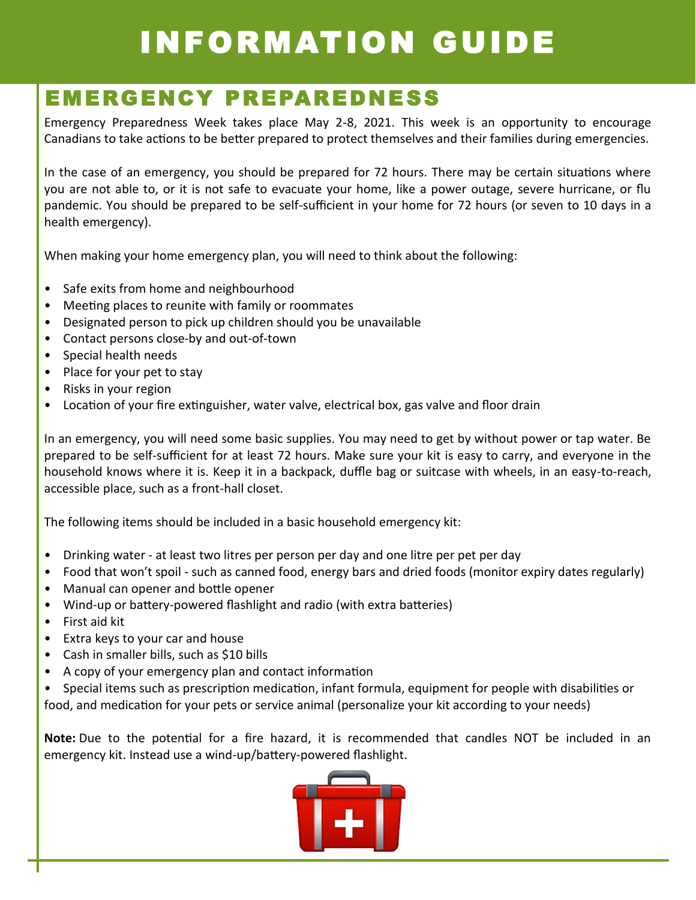# INFORMATION GUIDE

### EMERGENCY PREPAREDNE SS

Emergency Preparedness Week takes place May 2-8, 2021. This week is an opportunity to encourage Canadians to take actions to be better prepared to protect themselves and their families during emergencies.

In the case of an emergency, you should be prepared for 72 hours. There may be certain situations where you are not able to, or it is not safe to evacuate your home, like a power outage, severe hurricane, or flu pandemic. You should be prepared to be self-sufficient in your home for 72 hours (or seven to 10 days in a health emergency).

When making your home emergency plan, you will need to think about the following:

- Safe exits from home and neighbourhood
- Meeting places to reunite with family or roommates
- Designated person to pick up children should you be unavailable
- Contact persons close-by and out-of-town
- Special health needs
- Place for your pet to stay
- Risks in your region
- Location of your fire extinguisher, water valve, electrical box, gas valve and floor drain

In an emergency, you will need some basic supplies. You may need to get by without power or tap water. Be prepared to be self-sufficient for at least 72 hours. Make sure your kit is easy to carry, and everyone in the household knows where it is. Keep it in a backpack, duffle bag or suitcase with wheels, in an easy-to-reach, accessible place, such as a front-hall closet.

The following items should be included in a basic household emergency kit:

- Drinking water at least two litres per person per day and one litre per pet per day
- Food that won't spoil such as canned food, energy bars and dried foods (monitor expiry dates regularly)
- Manual can opener and bottle opener
- Wind-up or battery-powered flashlight and radio (with extra batteries)
- First aid kit
- Extra keys to your car and house
- Cash in smaller bills, such as \$10 bills
- A copy of your emergency plan and contact information
- Special items such as prescription medication, infant formula, equipment for people with disabilities or food, and medication for your pets or service animal (personalize your kit according to your needs)

**Note:** Due to the potential for a fire hazard, it is recommended that candles NOT be included in an emergency kit. Instead use a wind-up/battery-powered flashlight.

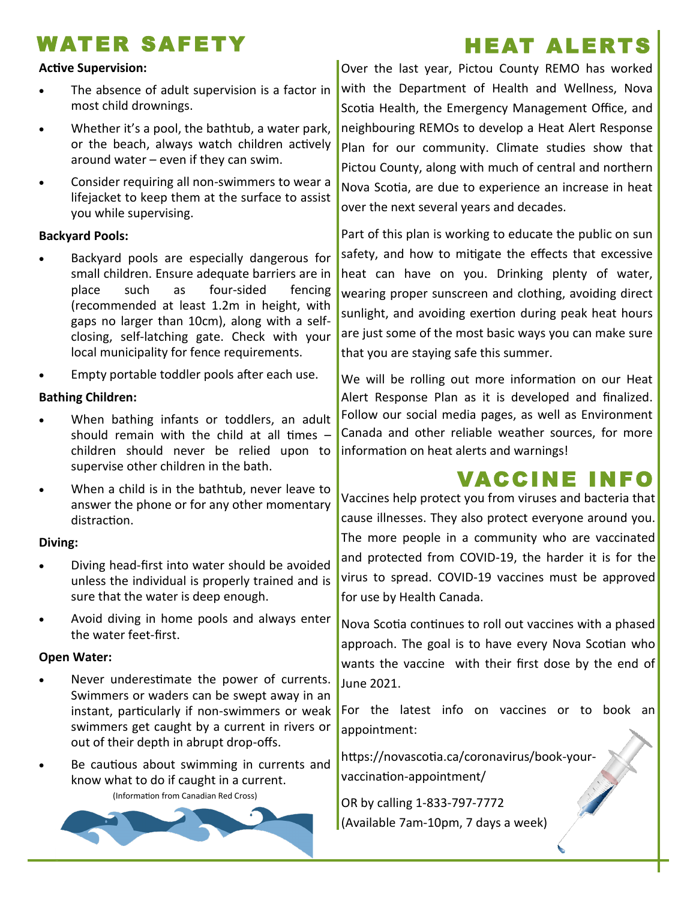### WATER SAFETY

#### **Active Supervision:**

- The absence of adult supervision is a factor in most child drownings.
- Whether it's a pool, the bathtub, a water park, or the beach, always watch children actively around water – even if they can swim.
- Consider requiring all non-swimmers to wear a lifejacket to keep them at the surface to assist you while supervising.

#### **Backyard Pools:**

- Backyard pools are especially dangerous for small children. Ensure adequate barriers are in place such as four-sided fencing (recommended at least 1.2m in height, with gaps no larger than 10cm), along with a selfclosing, self-latching gate. Check with your local municipality for fence requirements.
- Empty portable toddler pools after each use.

#### **Bathing Children:**

- When bathing infants or toddlers, an adult should remain with the child at all times – children should never be relied upon to supervise other children in the bath.
- When a child is in the bathtub, never leave to answer the phone or for any other momentary distraction.

#### **Diving:**

- Diving head-first into water should be avoided unless the individual is properly trained and is sure that the water is deep enough.
- Avoid diving in home pools and always enter the water feet-first.

#### **Open Water:**

- Never underestimate the power of currents. Swimmers or waders can be swept away in an instant, particularly if non-swimmers or weak swimmers get caught by a current in rivers or out of their depth in abrupt drop-offs.
- Be cautious about swimming in currents and know what to do if caught in a current.

(Information from Canadian Red Cross)



Over the last year, Pictou County REMO has worked with the Department of Health and Wellness, Nova Scotia Health, the Emergency Management Office, and neighbouring REMOs to develop a Heat Alert Response Plan for our community. Climate studies show that Pictou County, along with much of central and northern Nova Scotia, are due to experience an increase in heat over the next several years and decades.

Part of this plan is working to educate the public on sun safety, and how to mitigate the effects that excessive heat can have on you. Drinking plenty of water, wearing proper sunscreen and clothing, avoiding direct sunlight, and avoiding exertion during peak heat hours are just some of the most basic ways you can make sure that you are staying safe this summer.

We will be rolling out more information on our Heat Alert Response Plan as it is developed and finalized. Follow our social media pages, as well as Environment Canada and other reliable weather sources, for more information on heat alerts and warnings!

### VACCINE INFO

Vaccines help protect you from viruses and bacteria that cause illnesses. They also protect everyone around you. The more people in a community who are vaccinated and protected from COVID-19, the harder it is for the virus to spread. COVID-19 vaccines must be approved for use by Health Canada.

Nova Scotia continues to roll out vaccines with a phased approach. The goal is to have every Nova Scotian who wants the vaccine with their first dose by the end of June 2021.

For the latest info on vaccines or to book an appointment:

https://novascotia.ca/coronavirus/book-yourvaccination-appointment/

OR by calling 1-833-797-7772 (Available 7am-10pm, 7 days a week)

### HEAT ALERTS